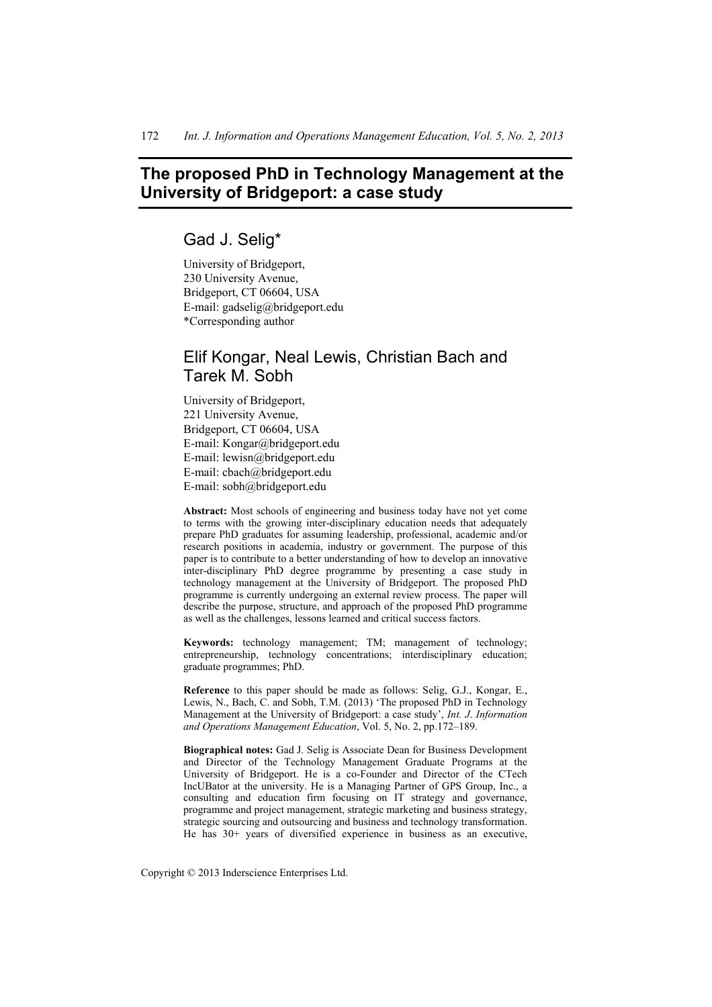# **The proposed PhD in Technology Management at the University of Bridgeport: a case study**

Gad J. Selig\*

University of Bridgeport, 230 University Avenue, Bridgeport, CT 06604, USA E-mail: gadselig@bridgeport.edu \*Corresponding author

# Elif Kongar, Neal Lewis, Christian Bach and Tarek M. Sobh

University of Bridgeport, 221 University Avenue, Bridgeport, CT 06604, USA E-mail: Kongar@bridgeport.edu E-mail: lewisn@bridgeport.edu E-mail: cbach@bridgeport.edu E-mail: sobh@bridgeport.edu

**Abstract:** Most schools of engineering and business today have not yet come to terms with the growing inter-disciplinary education needs that adequately prepare PhD graduates for assuming leadership, professional, academic and/or research positions in academia, industry or government. The purpose of this paper is to contribute to a better understanding of how to develop an innovative inter-disciplinary PhD degree programme by presenting a case study in technology management at the University of Bridgeport. The proposed PhD programme is currently undergoing an external review process. The paper will describe the purpose, structure, and approach of the proposed PhD programme as well as the challenges, lessons learned and critical success factors.

**Keywords:** technology management; TM; management of technology; entrepreneurship, technology concentrations; interdisciplinary education; graduate programmes; PhD.

**Reference** to this paper should be made as follows: Selig, G.J., Kongar, E., Lewis, N., Bach, C. and Sobh, T.M. (2013) 'The proposed PhD in Technology Management at the University of Bridgeport: a case study', *Int. J*. *Information and Operations Management Education*, Vol. 5, No. 2, pp.172–189.

**Biographical notes:** Gad J. Selig is Associate Dean for Business Development and Director of the Technology Management Graduate Programs at the University of Bridgeport. He is a co-Founder and Director of the CTech IncUBator at the university. He is a Managing Partner of GPS Group, Inc., a consulting and education firm focusing on IT strategy and governance, programme and project management, strategic marketing and business strategy, strategic sourcing and outsourcing and business and technology transformation. He has 30+ years of diversified experience in business as an executive,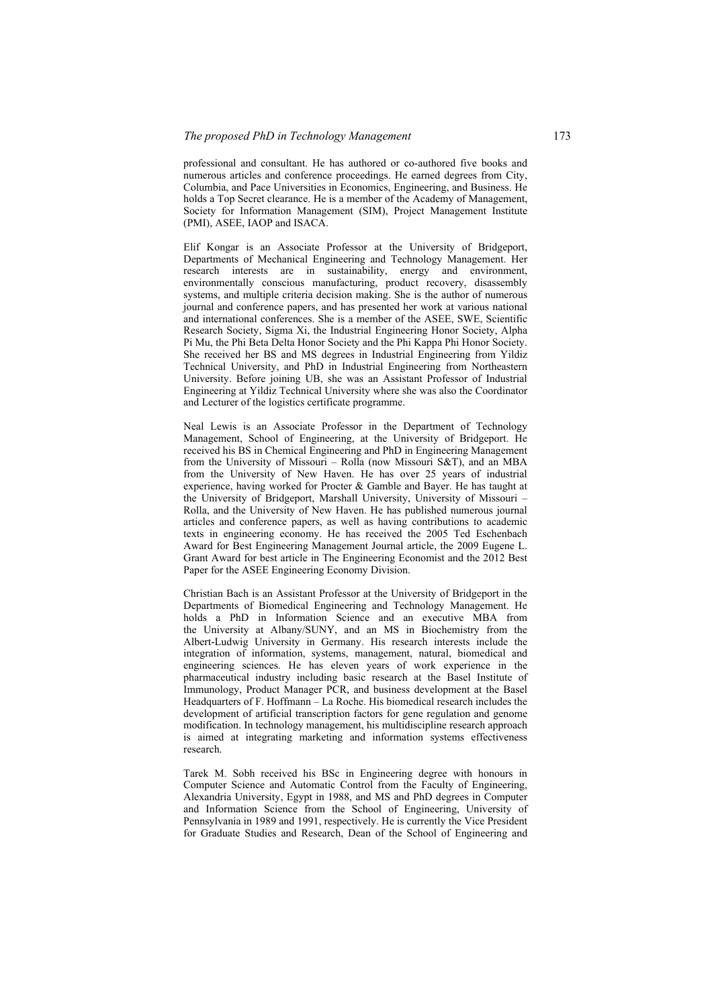professional and consultant. He has authored or co-authored five books and numerous articles and conference proceedings. He earned degrees from City, Columbia, and Pace Universities in Economics, Engineering, and Business. He holds a Top Secret clearance. He is a member of the Academy of Management, Society for Information Management (SIM), Project Management Institute (PMI), ASEE, IAOP and ISACA.

Elif Kongar is an Associate Professor at the University of Bridgeport, Departments of Mechanical Engineering and Technology Management. Her research interests are in sustainability, energy and environment, environmentally conscious manufacturing, product recovery, disassembly systems, and multiple criteria decision making. She is the author of numerous journal and conference papers, and has presented her work at various national and international conferences. She is a member of the ASEE, SWE, Scientific Research Society, Sigma Xi, the Industrial Engineering Honor Society, Alpha Pi Mu, the Phi Beta Delta Honor Society and the Phi Kappa Phi Honor Society. She received her BS and MS degrees in Industrial Engineering from Yildiz Technical University, and PhD in Industrial Engineering from Northeastern University. Before joining UB, she was an Assistant Professor of Industrial Engineering at Yildiz Technical University where she was also the Coordinator and Lecturer of the logistics certificate programme.

Neal Lewis is an Associate Professor in the Department of Technology Management, School of Engineering, at the University of Bridgeport. He received his BS in Chemical Engineering and PhD in Engineering Management from the University of Missouri – Rolla (now Missouri S&T), and an MBA from the University of New Haven. He has over 25 years of industrial experience, having worked for Procter & Gamble and Bayer. He has taught at the University of Bridgeport, Marshall University, University of Missouri – Rolla, and the University of New Haven. He has published numerous journal articles and conference papers, as well as having contributions to academic texts in engineering economy. He has received the 2005 Ted Eschenbach Award for Best Engineering Management Journal article, the 2009 Eugene L. Grant Award for best article in The Engineering Economist and the 2012 Best Paper for the ASEE Engineering Economy Division.

Christian Bach is an Assistant Professor at the University of Bridgeport in the Departments of Biomedical Engineering and Technology Management. He holds a PhD in Information Science and an executive MBA from the University at Albany/SUNY, and an MS in Biochemistry from the Albert-Ludwig University in Germany. His research interests include the integration of information, systems, management, natural, biomedical and engineering sciences. He has eleven years of work experience in the pharmaceutical industry including basic research at the Basel Institute of Immunology, Product Manager PCR, and business development at the Basel Headquarters of F. Hoffmann – La Roche. His biomedical research includes the development of artificial transcription factors for gene regulation and genome modification. In technology management, his multidiscipline research approach is aimed at integrating marketing and information systems effectiveness research.

Tarek M. Sobh received his BSc in Engineering degree with honours in Computer Science and Automatic Control from the Faculty of Engineering, Alexandria University, Egypt in 1988, and MS and PhD degrees in Computer and Information Science from the School of Engineering, University of Pennsylvania in 1989 and 1991, respectively. He is currently the Vice President for Graduate Studies and Research, Dean of the School of Engineering and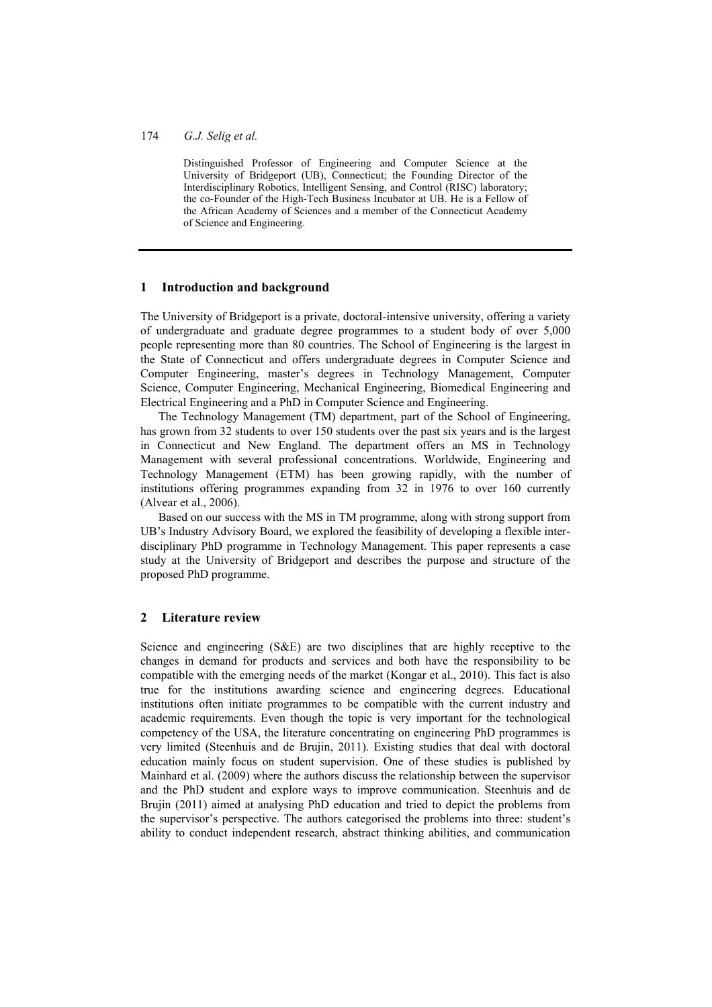Distinguished Professor of Engineering and Computer Science at the University of Bridgeport (UB), Connecticut; the Founding Director of the Interdisciplinary Robotics, Intelligent Sensing, and Control (RISC) laboratory; the co-Founder of the High-Tech Business Incubator at UB. He is a Fellow of the African Academy of Sciences and a member of the Connecticut Academy of Science and Engineering.

#### **1 Introduction and background**

The University of Bridgeport is a private, doctoral-intensive university, offering a variety of undergraduate and graduate degree programmes to a student body of over 5,000 people representing more than 80 countries. The School of Engineering is the largest in the State of Connecticut and offers undergraduate degrees in Computer Science and Computer Engineering, master's degrees in Technology Management, Computer Science, Computer Engineering, Mechanical Engineering, Biomedical Engineering and Electrical Engineering and a PhD in Computer Science and Engineering.

The Technology Management (TM) department, part of the School of Engineering, has grown from 32 students to over 150 students over the past six years and is the largest in Connecticut and New England. The department offers an MS in Technology Management with several professional concentrations. Worldwide, Engineering and Technology Management (ETM) has been growing rapidly, with the number of institutions offering programmes expanding from 32 in 1976 to over 160 currently (Alvear et al., 2006).

Based on our success with the MS in TM programme, along with strong support from UB's Industry Advisory Board, we explored the feasibility of developing a flexible interdisciplinary PhD programme in Technology Management. This paper represents a case study at the University of Bridgeport and describes the purpose and structure of the proposed PhD programme.

#### **2 Literature review**

Science and engineering (S&E) are two disciplines that are highly receptive to the changes in demand for products and services and both have the responsibility to be compatible with the emerging needs of the market (Kongar et al., 2010). This fact is also true for the institutions awarding science and engineering degrees. Educational institutions often initiate programmes to be compatible with the current industry and academic requirements. Even though the topic is very important for the technological competency of the USA, the literature concentrating on engineering PhD programmes is very limited (Steenhuis and de Brujin, 2011). Existing studies that deal with doctoral education mainly focus on student supervision. One of these studies is published by Mainhard et al. (2009) where the authors discuss the relationship between the supervisor and the PhD student and explore ways to improve communication. Steenhuis and de Brujin (2011) aimed at analysing PhD education and tried to depict the problems from the supervisor's perspective. The authors categorised the problems into three: student's ability to conduct independent research, abstract thinking abilities, and communication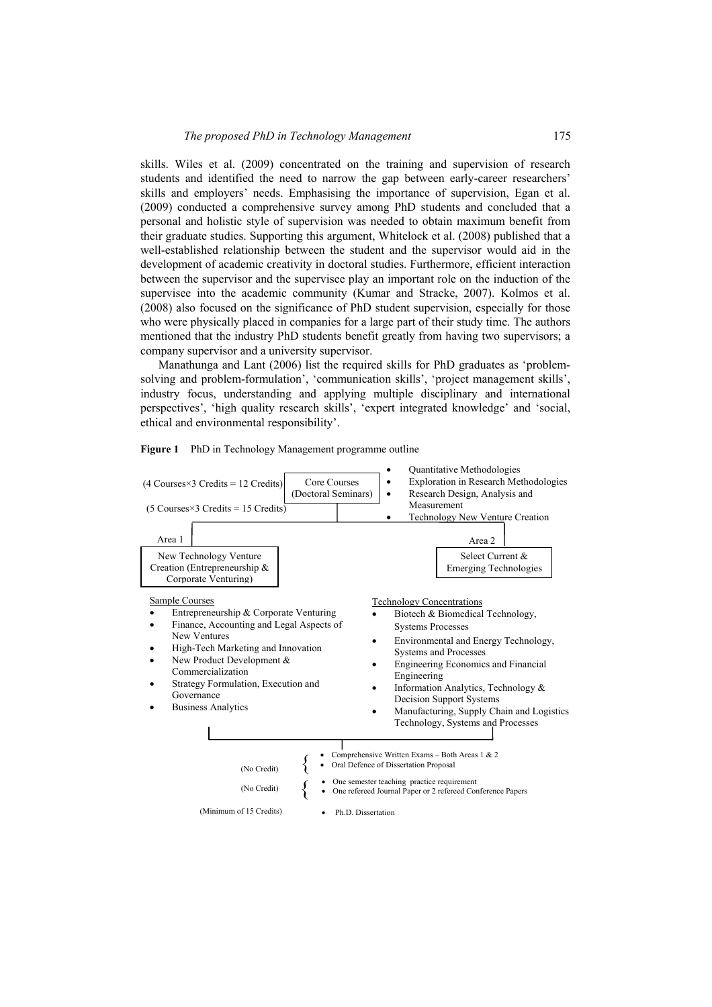skills. Wiles et al. (2009) concentrated on the training and supervision of research students and identified the need to narrow the gap between early-career researchers' skills and employers' needs. Emphasising the importance of supervision, Egan et al. (2009) conducted a comprehensive survey among PhD students and concluded that a personal and holistic style of supervision was needed to obtain maximum benefit from their graduate studies. Supporting this argument, Whitelock et al. (2008) published that a well-established relationship between the student and the supervisor would aid in the development of academic creativity in doctoral studies. Furthermore, efficient interaction between the supervisor and the supervisee play an important role on the induction of the supervisee into the academic community (Kumar and Stracke, 2007). Kolmos et al. (2008) also focused on the significance of PhD student supervision, especially for those who were physically placed in companies for a large part of their study time. The authors mentioned that the industry PhD students benefit greatly from having two supervisors; a company supervisor and a university supervisor.

Manathunga and Lant (2006) list the required skills for PhD graduates as 'problemsolving and problem-formulation', 'communication skills', 'project management skills', industry focus, understanding and applying multiple disciplinary and international perspectives', 'high quality research skills', 'expert integrated knowledge' and 'social, ethical and environmental responsibility'.



**Figure 1** PhD in Technology Management programme outline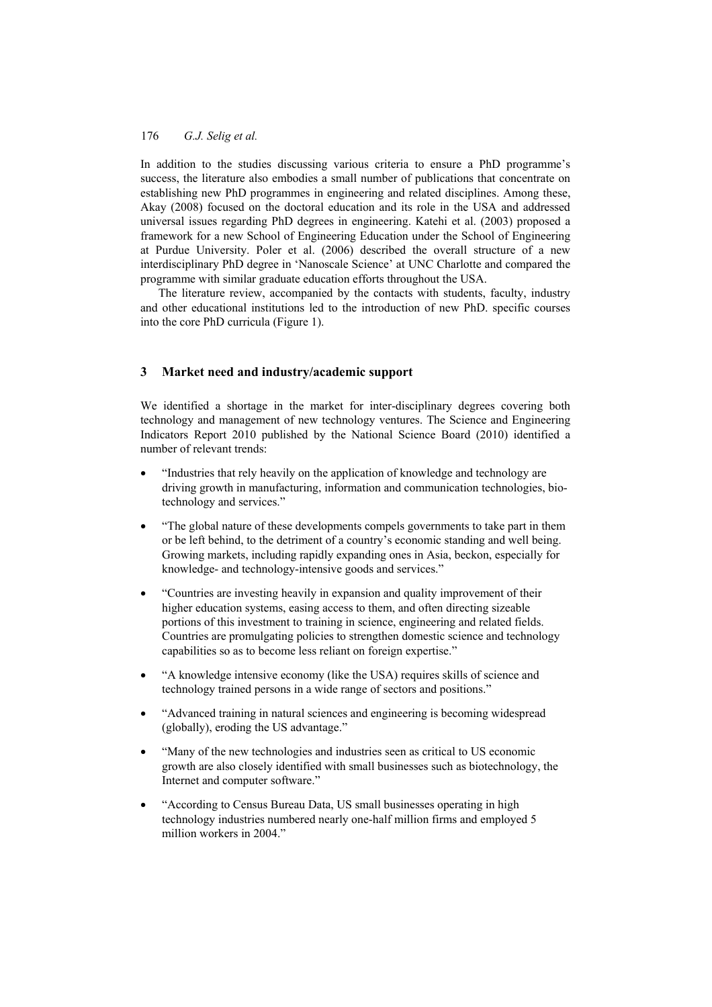In addition to the studies discussing various criteria to ensure a PhD programme's success, the literature also embodies a small number of publications that concentrate on establishing new PhD programmes in engineering and related disciplines. Among these, Akay (2008) focused on the doctoral education and its role in the USA and addressed universal issues regarding PhD degrees in engineering. Katehi et al. (2003) proposed a framework for a new School of Engineering Education under the School of Engineering at Purdue University. Poler et al. (2006) described the overall structure of a new interdisciplinary PhD degree in 'Nanoscale Science' at UNC Charlotte and compared the programme with similar graduate education efforts throughout the USA.

The literature review, accompanied by the contacts with students, faculty, industry and other educational institutions led to the introduction of new PhD. specific courses into the core PhD curricula (Figure 1).

# **3 Market need and industry/academic support**

We identified a shortage in the market for inter-disciplinary degrees covering both technology and management of new technology ventures. The Science and Engineering Indicators Report 2010 published by the National Science Board (2010) identified a number of relevant trends:

- "Industries that rely heavily on the application of knowledge and technology are driving growth in manufacturing, information and communication technologies, biotechnology and services."
- "The global nature of these developments compels governments to take part in them or be left behind, to the detriment of a country's economic standing and well being. Growing markets, including rapidly expanding ones in Asia, beckon, especially for knowledge- and technology-intensive goods and services."
- "Countries are investing heavily in expansion and quality improvement of their higher education systems, easing access to them, and often directing sizeable portions of this investment to training in science, engineering and related fields. Countries are promulgating policies to strengthen domestic science and technology capabilities so as to become less reliant on foreign expertise."
- "A knowledge intensive economy (like the USA) requires skills of science and technology trained persons in a wide range of sectors and positions."
- "Advanced training in natural sciences and engineering is becoming widespread (globally), eroding the US advantage."
- "Many of the new technologies and industries seen as critical to US economic growth are also closely identified with small businesses such as biotechnology, the Internet and computer software."
- "According to Census Bureau Data, US small businesses operating in high technology industries numbered nearly one-half million firms and employed 5 million workers in 2004."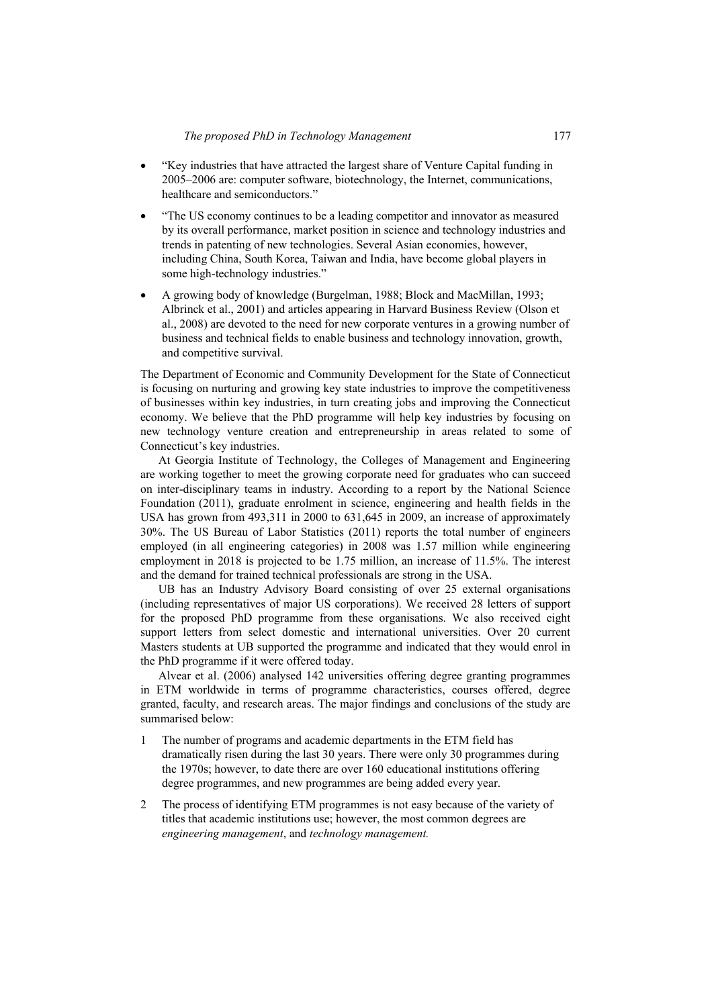- "Key industries that have attracted the largest share of Venture Capital funding in 2005–2006 are: computer software, biotechnology, the Internet, communications, healthcare and semiconductors."
- "The US economy continues to be a leading competitor and innovator as measured by its overall performance, market position in science and technology industries and trends in patenting of new technologies. Several Asian economies, however, including China, South Korea, Taiwan and India, have become global players in some high-technology industries."
- A growing body of knowledge (Burgelman, 1988; Block and MacMillan, 1993; Albrinck et al., 2001) and articles appearing in Harvard Business Review (Olson et al., 2008) are devoted to the need for new corporate ventures in a growing number of business and technical fields to enable business and technology innovation, growth, and competitive survival.

The Department of Economic and Community Development for the State of Connecticut is focusing on nurturing and growing key state industries to improve the competitiveness of businesses within key industries, in turn creating jobs and improving the Connecticut economy. We believe that the PhD programme will help key industries by focusing on new technology venture creation and entrepreneurship in areas related to some of Connecticut's key industries.

At Georgia Institute of Technology, the Colleges of Management and Engineering are working together to meet the growing corporate need for graduates who can succeed on inter-disciplinary teams in industry. According to a report by the National Science Foundation (2011), graduate enrolment in science, engineering and health fields in the USA has grown from 493,311 in 2000 to 631,645 in 2009, an increase of approximately 30%. The US Bureau of Labor Statistics (2011) reports the total number of engineers employed (in all engineering categories) in 2008 was 1.57 million while engineering employment in 2018 is projected to be 1.75 million, an increase of 11.5%. The interest and the demand for trained technical professionals are strong in the USA.

UB has an Industry Advisory Board consisting of over 25 external organisations (including representatives of major US corporations). We received 28 letters of support for the proposed PhD programme from these organisations. We also received eight support letters from select domestic and international universities. Over 20 current Masters students at UB supported the programme and indicated that they would enrol in the PhD programme if it were offered today.

Alvear et al. (2006) analysed 142 universities offering degree granting programmes in ETM worldwide in terms of programme characteristics, courses offered, degree granted, faculty, and research areas. The major findings and conclusions of the study are summarised below:

- 1 The number of programs and academic departments in the ETM field has dramatically risen during the last 30 years. There were only 30 programmes during the 1970s; however, to date there are over 160 educational institutions offering degree programmes, and new programmes are being added every year.
- 2 The process of identifying ETM programmes is not easy because of the variety of titles that academic institutions use; however, the most common degrees are *engineering management*, and *technology management.*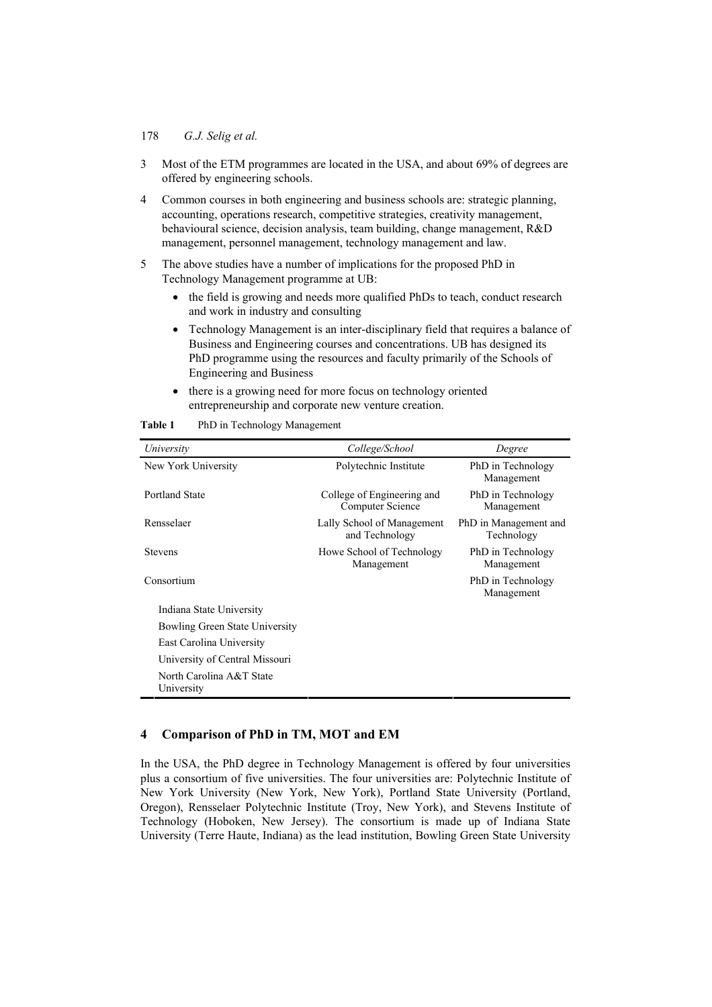- 3 Most of the ETM programmes are located in the USA, and about 69% of degrees are offered by engineering schools.
- 4 Common courses in both engineering and business schools are: strategic planning, accounting, operations research, competitive strategies, creativity management, behavioural science, decision analysis, team building, change management, R&D management, personnel management, technology management and law.
- 5 The above studies have a number of implications for the proposed PhD in Technology Management programme at UB:
	- the field is growing and needs more qualified PhDs to teach, conduct research and work in industry and consulting
	- Technology Management is an inter-disciplinary field that requires a balance of Business and Engineering courses and concentrations. UB has designed its PhD programme using the resources and faculty primarily of the Schools of Engineering and Business
	- there is a growing need for more focus on technology oriented entrepreneurship and corporate new venture creation.

| University                             | College/School                                 | Degree                              |
|----------------------------------------|------------------------------------------------|-------------------------------------|
| New York University                    | Polytechnic Institute                          | PhD in Technology<br>Management     |
| <b>Portland State</b>                  | College of Engineering and<br>Computer Science | PhD in Technology<br>Management     |
| Rensselaer                             | Lally School of Management<br>and Technology   | PhD in Management and<br>Technology |
| <b>Stevens</b>                         | Howe School of Technology<br>Management        | PhD in Technology<br>Management     |
| Consortium                             |                                                | PhD in Technology<br>Management     |
| Indiana State University               |                                                |                                     |
| <b>Bowling Green State University</b>  |                                                |                                     |
| East Carolina University               |                                                |                                     |
| University of Central Missouri         |                                                |                                     |
| North Carolina A&T State<br>University |                                                |                                     |

**Table 1** PhD in Technology Management

### **4 Comparison of PhD in TM, MOT and EM**

In the USA, the PhD degree in Technology Management is offered by four universities plus a consortium of five universities. The four universities are: Polytechnic Institute of New York University (New York, New York), Portland State University (Portland, Oregon), Rensselaer Polytechnic Institute (Troy, New York), and Stevens Institute of Technology (Hoboken, New Jersey). The consortium is made up of Indiana State University (Terre Haute, Indiana) as the lead institution, Bowling Green State University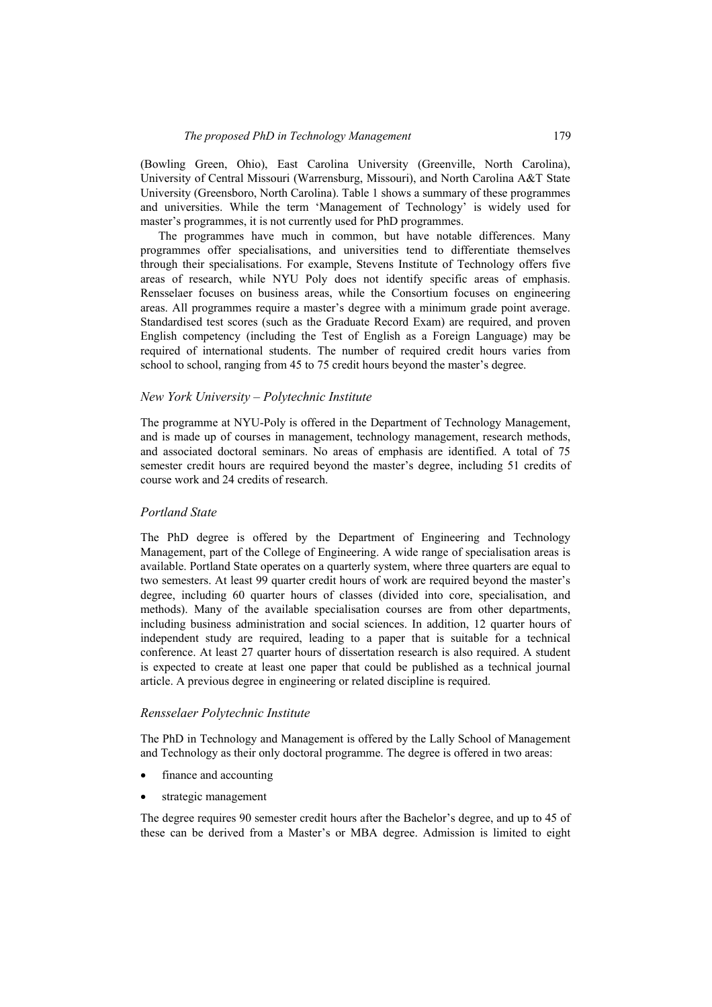(Bowling Green, Ohio), East Carolina University (Greenville, North Carolina), University of Central Missouri (Warrensburg, Missouri), and North Carolina A&T State University (Greensboro, North Carolina). Table 1 shows a summary of these programmes and universities. While the term 'Management of Technology' is widely used for master's programmes, it is not currently used for PhD programmes.

The programmes have much in common, but have notable differences. Many programmes offer specialisations, and universities tend to differentiate themselves through their specialisations. For example, Stevens Institute of Technology offers five areas of research, while NYU Poly does not identify specific areas of emphasis. Rensselaer focuses on business areas, while the Consortium focuses on engineering areas. All programmes require a master's degree with a minimum grade point average. Standardised test scores (such as the Graduate Record Exam) are required, and proven English competency (including the Test of English as a Foreign Language) may be required of international students. The number of required credit hours varies from school to school, ranging from 45 to 75 credit hours beyond the master's degree.

#### *New York University – Polytechnic Institute*

The programme at NYU-Poly is offered in the Department of Technology Management, and is made up of courses in management, technology management, research methods, and associated doctoral seminars. No areas of emphasis are identified. A total of 75 semester credit hours are required beyond the master's degree, including 51 credits of course work and 24 credits of research.

## *Portland State*

The PhD degree is offered by the Department of Engineering and Technology Management, part of the College of Engineering. A wide range of specialisation areas is available. Portland State operates on a quarterly system, where three quarters are equal to two semesters. At least 99 quarter credit hours of work are required beyond the master's degree, including 60 quarter hours of classes (divided into core, specialisation, and methods). Many of the available specialisation courses are from other departments, including business administration and social sciences. In addition, 12 quarter hours of independent study are required, leading to a paper that is suitable for a technical conference. At least 27 quarter hours of dissertation research is also required. A student is expected to create at least one paper that could be published as a technical journal article. A previous degree in engineering or related discipline is required.

## *Rensselaer Polytechnic Institute*

The PhD in Technology and Management is offered by the Lally School of Management and Technology as their only doctoral programme. The degree is offered in two areas:

- finance and accounting
- strategic management

The degree requires 90 semester credit hours after the Bachelor's degree, and up to 45 of these can be derived from a Master's or MBA degree. Admission is limited to eight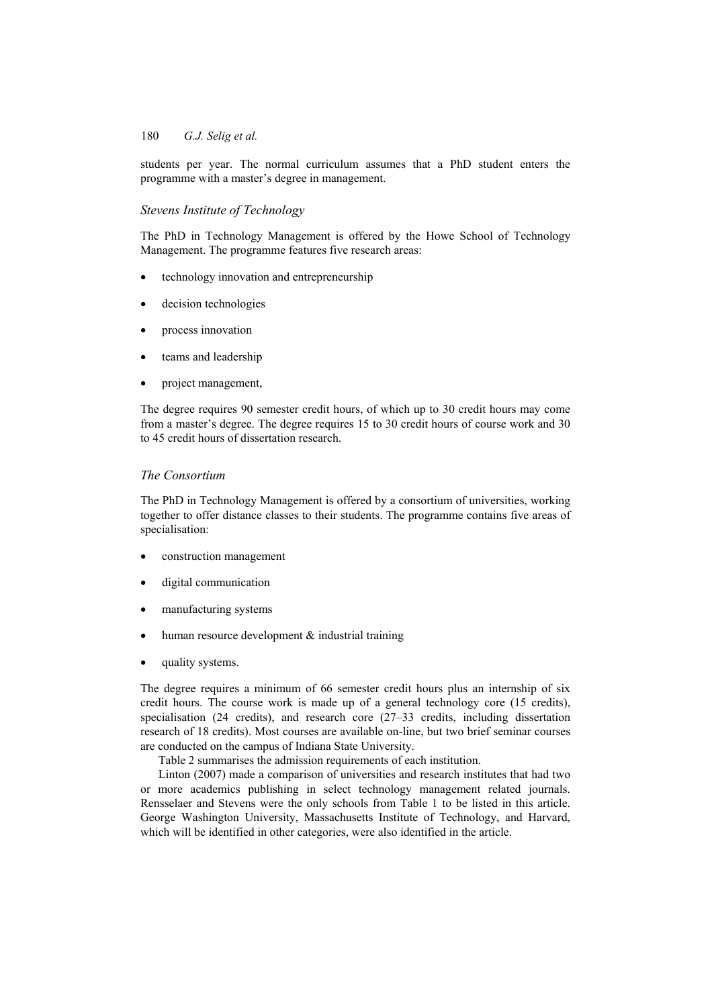students per year. The normal curriculum assumes that a PhD student enters the programme with a master's degree in management.

#### *Stevens Institute of Technology*

The PhD in Technology Management is offered by the Howe School of Technology Management. The programme features five research areas:

- technology innovation and entrepreneurship
- decision technologies
- process innovation
- teams and leadership
- project management,

The degree requires 90 semester credit hours, of which up to 30 credit hours may come from a master's degree. The degree requires 15 to 30 credit hours of course work and 30 to 45 credit hours of dissertation research.

#### *The Consortium*

The PhD in Technology Management is offered by a consortium of universities, working together to offer distance classes to their students. The programme contains five areas of specialisation:

- construction management
- digital communication
- manufacturing systems
- human resource development  $&$  industrial training
- quality systems.

The degree requires a minimum of 66 semester credit hours plus an internship of six credit hours. The course work is made up of a general technology core (15 credits), specialisation (24 credits), and research core (27–33 credits, including dissertation research of 18 credits). Most courses are available on-line, but two brief seminar courses are conducted on the campus of Indiana State University.

Table 2 summarises the admission requirements of each institution.

Linton (2007) made a comparison of universities and research institutes that had two or more academics publishing in select technology management related journals. Rensselaer and Stevens were the only schools from Table 1 to be listed in this article. George Washington University, Massachusetts Institute of Technology, and Harvard, which will be identified in other categories, were also identified in the article.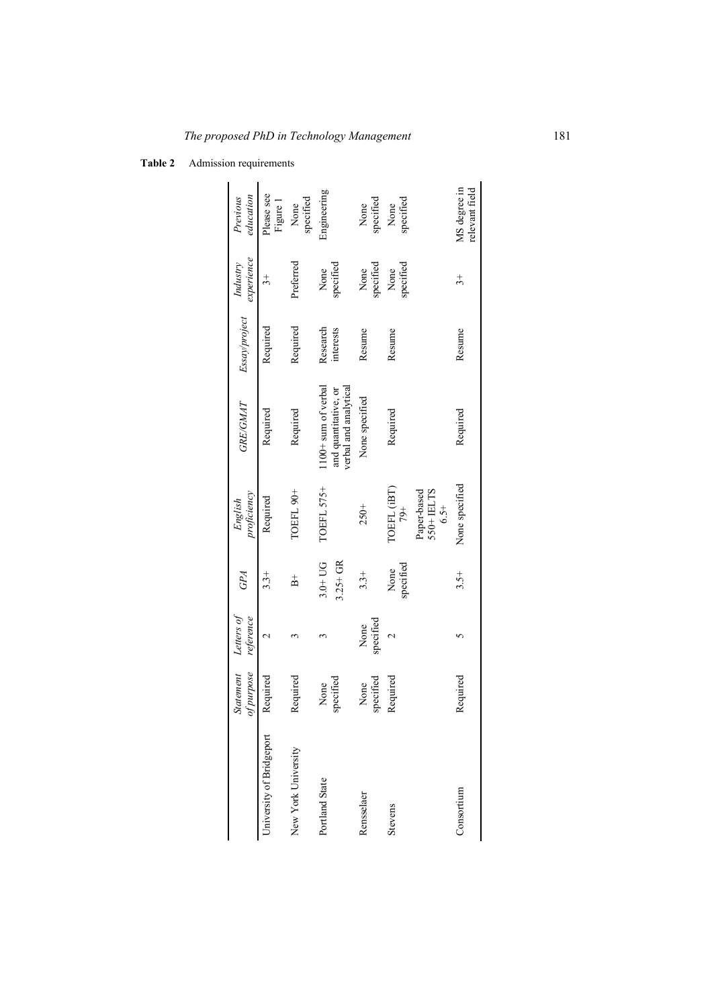**Table 2** Admission requirements

|                          | <b>Statement</b><br>of purpose | Letters of<br>reference  | GPA                       | English<br>proficiency                                    | <b>GRE/GMAT</b>                                                      | Essay/project         | experience<br>Industry | education<br>Previous          |
|--------------------------|--------------------------------|--------------------------|---------------------------|-----------------------------------------------------------|----------------------------------------------------------------------|-----------------------|------------------------|--------------------------------|
| University of Bridgeport | Required                       | 2                        | $3.3 +$                   | Required                                                  | Required                                                             | Required              | $\ddot{3}$             | Please see<br>Figure 1         |
| New York University      | <b>Required</b>                |                          | $\vec{B}$                 | TOEFL 90+                                                 | Required                                                             | Required              | Preferred              | specified<br>None              |
| Portland State           | specified<br>None              |                          | $3.0 + UG$<br>$3.25 + GR$ | TOEFL 575+                                                | 1100+ sum of verbal<br>and quantitative, or<br>verbal and analytical | Research<br>interests | specified<br>None      | Engineering                    |
| Rensselaer               | specified<br>None              | specified<br>None        | $3.3+$                    | 250+                                                      | None specified                                                       | Resume                | specified<br>None      | specified<br>None              |
| Stevens                  | Required                       | $\overline{\mathcal{C}}$ | specified<br>None         | TOEFL (iBT) $79^+$<br>550+ IELTS<br>Paper-based<br>$6.5+$ | Required                                                             | Resume                | specified<br>None      | specified<br>None              |
| Consortium               | Required                       |                          | $3.5+$                    | None specified                                            | Required                                                             | Resume                | $\ddot{ }$             | MS degree in<br>relevant field |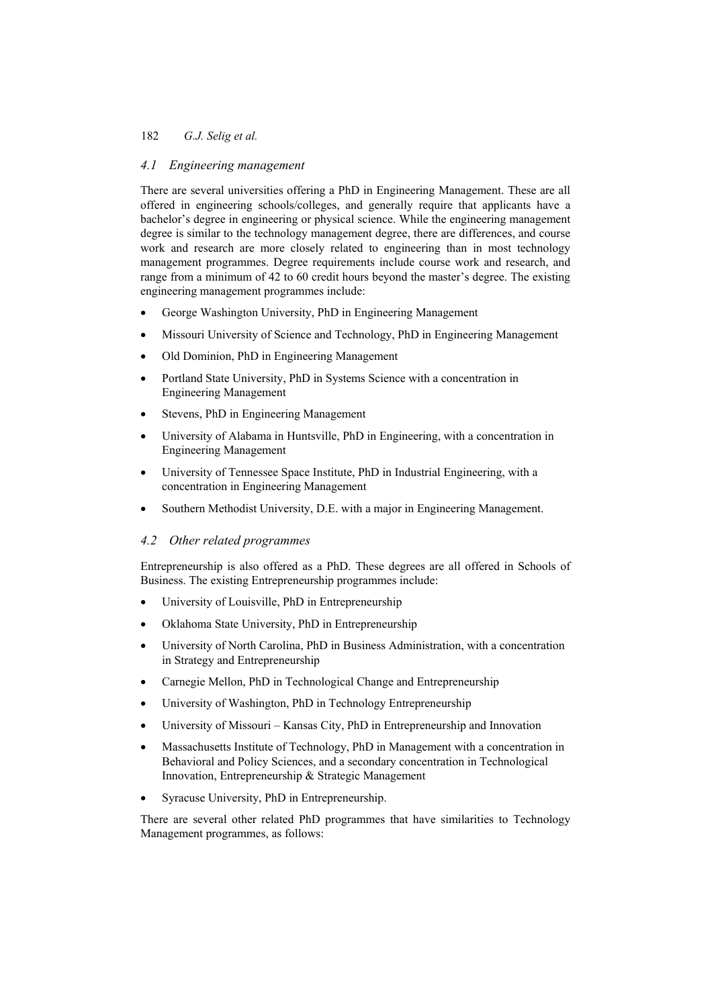## *4.1 Engineering management*

There are several universities offering a PhD in Engineering Management. These are all offered in engineering schools/colleges, and generally require that applicants have a bachelor's degree in engineering or physical science. While the engineering management degree is similar to the technology management degree, there are differences, and course work and research are more closely related to engineering than in most technology management programmes. Degree requirements include course work and research, and range from a minimum of 42 to 60 credit hours beyond the master's degree. The existing engineering management programmes include:

- George Washington University, PhD in Engineering Management
- Missouri University of Science and Technology, PhD in Engineering Management
- Old Dominion, PhD in Engineering Management
- Portland State University, PhD in Systems Science with a concentration in Engineering Management
- Stevens, PhD in Engineering Management
- University of Alabama in Huntsville, PhD in Engineering, with a concentration in Engineering Management
- University of Tennessee Space Institute, PhD in Industrial Engineering, with a concentration in Engineering Management
- Southern Methodist University, D.E. with a major in Engineering Management.

## *4.2 Other related programmes*

Entrepreneurship is also offered as a PhD. These degrees are all offered in Schools of Business. The existing Entrepreneurship programmes include:

- University of Louisville, PhD in Entrepreneurship
- Oklahoma State University, PhD in Entrepreneurship
- University of North Carolina, PhD in Business Administration, with a concentration in Strategy and Entrepreneurship
- Carnegie Mellon, PhD in Technological Change and Entrepreneurship
- University of Washington, PhD in Technology Entrepreneurship
- University of Missouri Kansas City, PhD in Entrepreneurship and Innovation
- Massachusetts Institute of Technology, PhD in Management with a concentration in Behavioral and Policy Sciences, and a secondary concentration in Technological Innovation, Entrepreneurship & Strategic Management
- Syracuse University, PhD in Entrepreneurship.

There are several other related PhD programmes that have similarities to Technology Management programmes, as follows: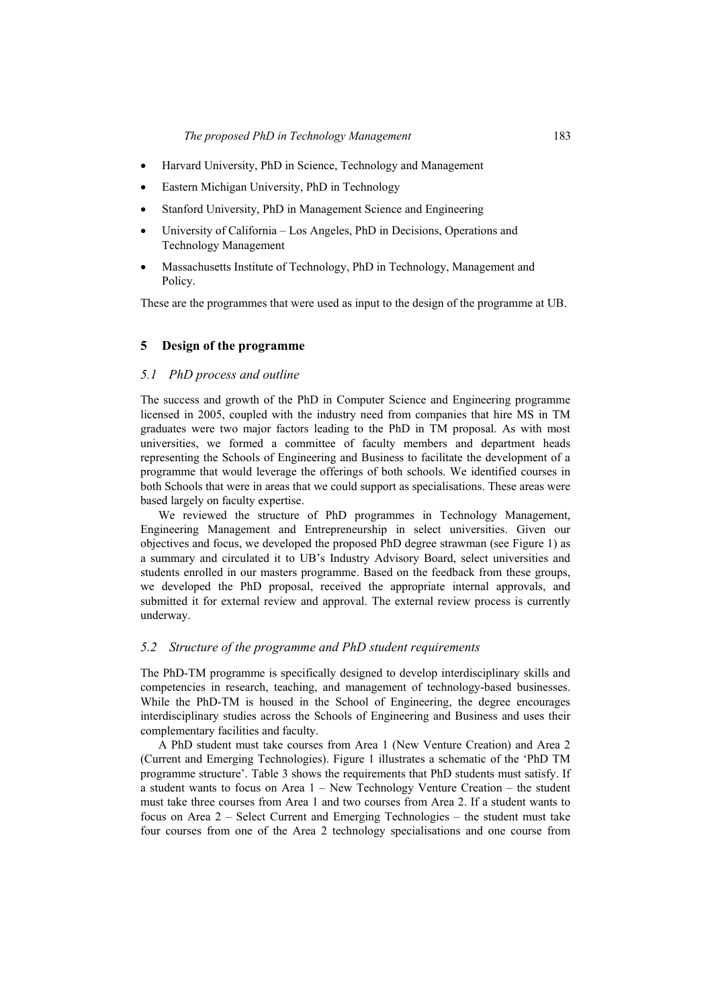- Harvard University, PhD in Science, Technology and Management
- Eastern Michigan University, PhD in Technology
- Stanford University, PhD in Management Science and Engineering
- University of California Los Angeles, PhD in Decisions, Operations and Technology Management
- Massachusetts Institute of Technology, PhD in Technology, Management and Policy.

These are the programmes that were used as input to the design of the programme at UB.

#### **5 Design of the programme**

#### *5.1 PhD process and outline*

The success and growth of the PhD in Computer Science and Engineering programme licensed in 2005, coupled with the industry need from companies that hire MS in TM graduates were two major factors leading to the PhD in TM proposal. As with most universities, we formed a committee of faculty members and department heads representing the Schools of Engineering and Business to facilitate the development of a programme that would leverage the offerings of both schools. We identified courses in both Schools that were in areas that we could support as specialisations. These areas were based largely on faculty expertise.

We reviewed the structure of PhD programmes in Technology Management, Engineering Management and Entrepreneurship in select universities. Given our objectives and focus, we developed the proposed PhD degree strawman (see Figure 1) as a summary and circulated it to UB's Industry Advisory Board, select universities and students enrolled in our masters programme. Based on the feedback from these groups, we developed the PhD proposal, received the appropriate internal approvals, and submitted it for external review and approval. The external review process is currently underway.

#### *5.2 Structure of the programme and PhD student requirements*

The PhD-TM programme is specifically designed to develop interdisciplinary skills and competencies in research, teaching, and management of technology-based businesses. While the PhD-TM is housed in the School of Engineering, the degree encourages interdisciplinary studies across the Schools of Engineering and Business and uses their complementary facilities and faculty.

A PhD student must take courses from Area 1 (New Venture Creation) and Area 2 (Current and Emerging Technologies). Figure 1 illustrates a schematic of the 'PhD TM programme structure'. Table 3 shows the requirements that PhD students must satisfy. If a student wants to focus on Area 1 – New Technology Venture Creation – the student must take three courses from Area 1 and two courses from Area 2. If a student wants to focus on Area 2 – Select Current and Emerging Technologies – the student must take four courses from one of the Area 2 technology specialisations and one course from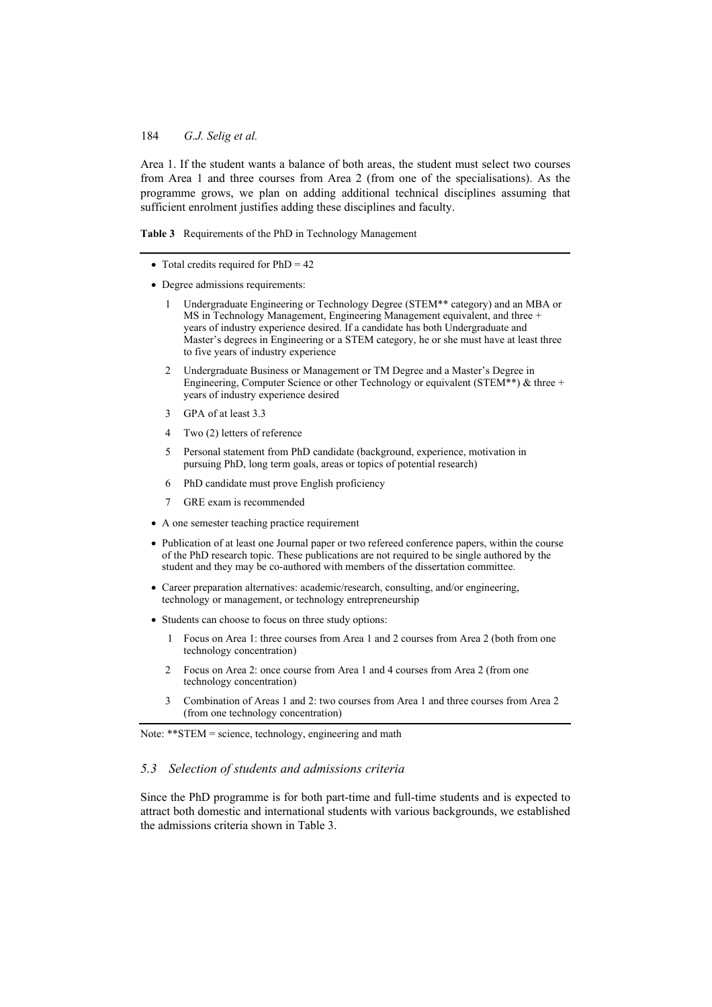Area 1. If the student wants a balance of both areas, the student must select two courses from Area 1 and three courses from Area 2 (from one of the specialisations). As the programme grows, we plan on adding additional technical disciplines assuming that sufficient enrolment justifies adding these disciplines and faculty.

**Table 3** Requirements of the PhD in Technology Management

- Total credits required for  $PhD = 42$
- Degree admissions requirements:
	- 1 Undergraduate Engineering or Technology Degree (STEM\*\* category) and an MBA or MS in Technology Management, Engineering Management equivalent, and three + years of industry experience desired. If a candidate has both Undergraduate and Master's degrees in Engineering or a STEM category, he or she must have at least three to five years of industry experience
	- 2 Undergraduate Business or Management or TM Degree and a Master's Degree in Engineering, Computer Science or other Technology or equivalent (STEM\*\*) & three + years of industry experience desired
	- 3 GPA of at least 3.3
	- 4 Two (2) letters of reference
	- 5 Personal statement from PhD candidate (background, experience, motivation in pursuing PhD, long term goals, areas or topics of potential research)
	- 6 PhD candidate must prove English proficiency
	- 7 GRE exam is recommended
- A one semester teaching practice requirement
- Publication of at least one Journal paper or two refereed conference papers, within the course of the PhD research topic. These publications are not required to be single authored by the student and they may be co-authored with members of the dissertation committee.
- Career preparation alternatives: academic/research, consulting, and/or engineering, technology or management, or technology entrepreneurship
- Students can choose to focus on three study options:
	- 1 Focus on Area 1: three courses from Area 1 and 2 courses from Area 2 (both from one technology concentration)
	- 2 Focus on Area 2: once course from Area 1 and 4 courses from Area 2 (from one technology concentration)
	- 3 Combination of Areas 1 and 2: two courses from Area 1 and three courses from Area 2 (from one technology concentration)

Note: \*\*STEM = science, technology, engineering and math

#### *5.3 Selection of students and admissions criteria*

Since the PhD programme is for both part-time and full-time students and is expected to attract both domestic and international students with various backgrounds, we established the admissions criteria shown in Table 3.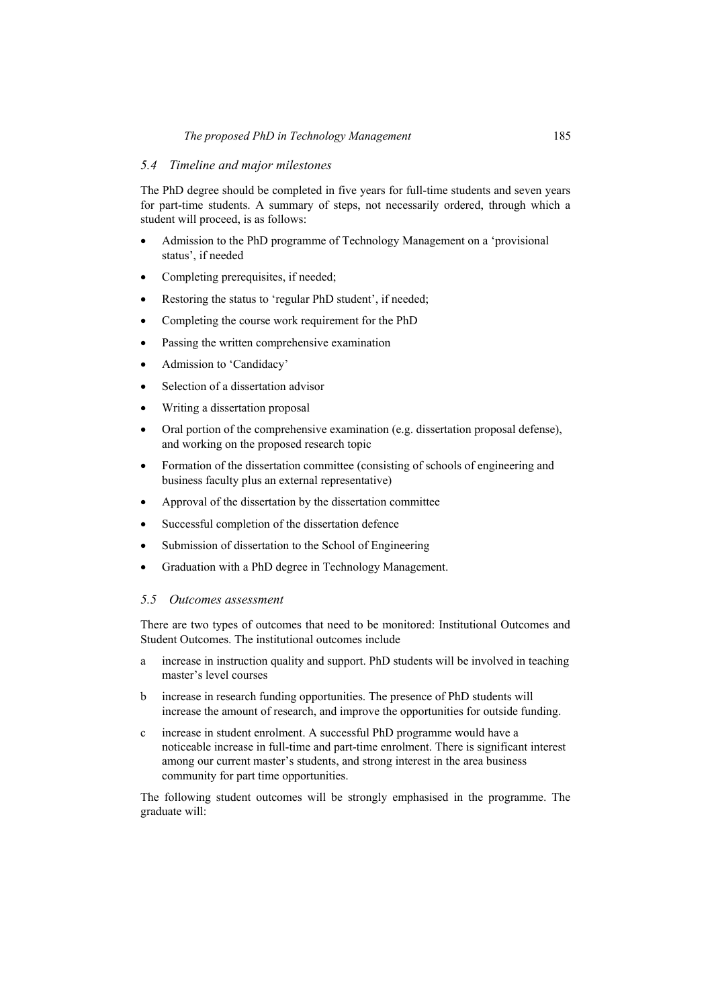# *5.4 Timeline and major milestones*

The PhD degree should be completed in five years for full-time students and seven years for part-time students. A summary of steps, not necessarily ordered, through which a student will proceed, is as follows:

- Admission to the PhD programme of Technology Management on a 'provisional status', if needed
- Completing prerequisites, if needed;
- Restoring the status to 'regular PhD student', if needed;
- Completing the course work requirement for the PhD
- Passing the written comprehensive examination
- Admission to 'Candidacy'
- Selection of a dissertation advisor
- Writing a dissertation proposal
- Oral portion of the comprehensive examination (e.g. dissertation proposal defense), and working on the proposed research topic
- Formation of the dissertation committee (consisting of schools of engineering and business faculty plus an external representative)
- Approval of the dissertation by the dissertation committee
- Successful completion of the dissertation defence
- Submission of dissertation to the School of Engineering
- Graduation with a PhD degree in Technology Management.

## *5.5 Outcomes assessment*

There are two types of outcomes that need to be monitored: Institutional Outcomes and Student Outcomes. The institutional outcomes include

- a increase in instruction quality and support. PhD students will be involved in teaching master's level courses
- b increase in research funding opportunities. The presence of PhD students will increase the amount of research, and improve the opportunities for outside funding.
- c increase in student enrolment. A successful PhD programme would have a noticeable increase in full-time and part-time enrolment. There is significant interest among our current master's students, and strong interest in the area business community for part time opportunities.

The following student outcomes will be strongly emphasised in the programme. The graduate will: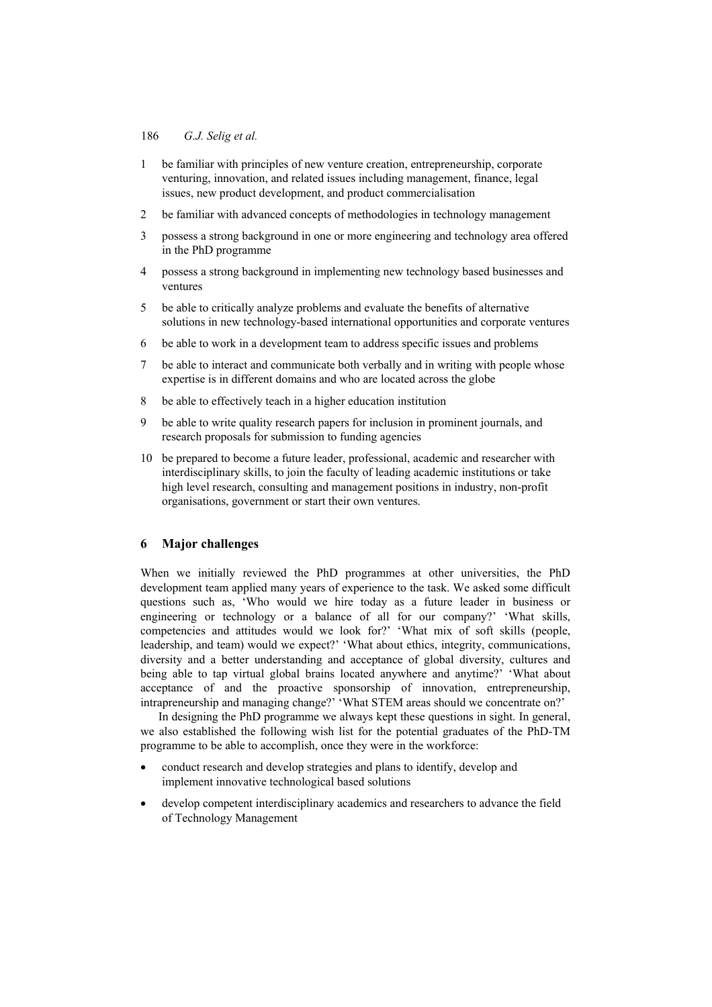- 1 be familiar with principles of new venture creation, entrepreneurship, corporate venturing, innovation, and related issues including management, finance, legal issues, new product development, and product commercialisation
- 2 be familiar with advanced concepts of methodologies in technology management
- 3 possess a strong background in one or more engineering and technology area offered in the PhD programme
- 4 possess a strong background in implementing new technology based businesses and ventures
- 5 be able to critically analyze problems and evaluate the benefits of alternative solutions in new technology-based international opportunities and corporate ventures
- 6 be able to work in a development team to address specific issues and problems
- 7 be able to interact and communicate both verbally and in writing with people whose expertise is in different domains and who are located across the globe
- 8 be able to effectively teach in a higher education institution
- 9 be able to write quality research papers for inclusion in prominent journals, and research proposals for submission to funding agencies
- 10 be prepared to become a future leader, professional, academic and researcher with interdisciplinary skills, to join the faculty of leading academic institutions or take high level research, consulting and management positions in industry, non-profit organisations, government or start their own ventures.

# **6 Major challenges**

When we initially reviewed the PhD programmes at other universities, the PhD development team applied many years of experience to the task. We asked some difficult questions such as, 'Who would we hire today as a future leader in business or engineering or technology or a balance of all for our company?' 'What skills, competencies and attitudes would we look for?' 'What mix of soft skills (people, leadership, and team) would we expect?' 'What about ethics, integrity, communications, diversity and a better understanding and acceptance of global diversity, cultures and being able to tap virtual global brains located anywhere and anytime?' 'What about acceptance of and the proactive sponsorship of innovation, entrepreneurship, intrapreneurship and managing change?' 'What STEM areas should we concentrate on?'

In designing the PhD programme we always kept these questions in sight. In general, we also established the following wish list for the potential graduates of the PhD-TM programme to be able to accomplish, once they were in the workforce:

- conduct research and develop strategies and plans to identify, develop and implement innovative technological based solutions
- develop competent interdisciplinary academics and researchers to advance the field of Technology Management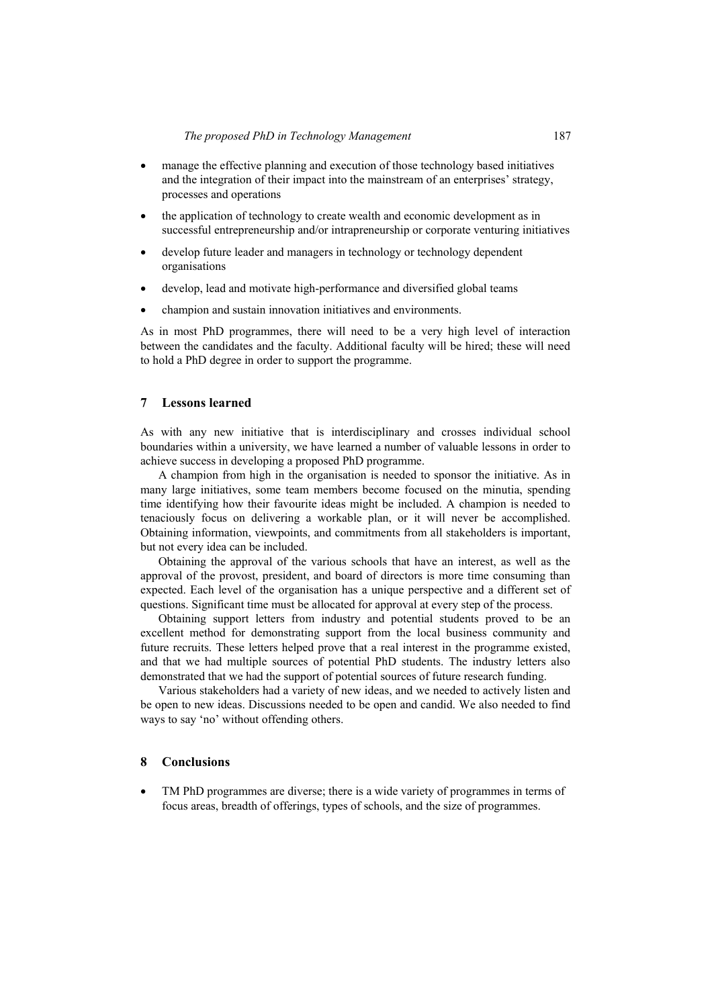- manage the effective planning and execution of those technology based initiatives and the integration of their impact into the mainstream of an enterprises' strategy, processes and operations
- the application of technology to create wealth and economic development as in successful entrepreneurship and/or intrapreneurship or corporate venturing initiatives
- develop future leader and managers in technology or technology dependent organisations
- develop, lead and motivate high-performance and diversified global teams
- champion and sustain innovation initiatives and environments.

As in most PhD programmes, there will need to be a very high level of interaction between the candidates and the faculty. Additional faculty will be hired; these will need to hold a PhD degree in order to support the programme.

#### **7 Lessons learned**

As with any new initiative that is interdisciplinary and crosses individual school boundaries within a university, we have learned a number of valuable lessons in order to achieve success in developing a proposed PhD programme.

A champion from high in the organisation is needed to sponsor the initiative. As in many large initiatives, some team members become focused on the minutia, spending time identifying how their favourite ideas might be included. A champion is needed to tenaciously focus on delivering a workable plan, or it will never be accomplished. Obtaining information, viewpoints, and commitments from all stakeholders is important, but not every idea can be included.

Obtaining the approval of the various schools that have an interest, as well as the approval of the provost, president, and board of directors is more time consuming than expected. Each level of the organisation has a unique perspective and a different set of questions. Significant time must be allocated for approval at every step of the process.

Obtaining support letters from industry and potential students proved to be an excellent method for demonstrating support from the local business community and future recruits. These letters helped prove that a real interest in the programme existed, and that we had multiple sources of potential PhD students. The industry letters also demonstrated that we had the support of potential sources of future research funding.

Various stakeholders had a variety of new ideas, and we needed to actively listen and be open to new ideas. Discussions needed to be open and candid. We also needed to find ways to say 'no' without offending others.

## **8 Conclusions**

TM PhD programmes are diverse; there is a wide variety of programmes in terms of focus areas, breadth of offerings, types of schools, and the size of programmes.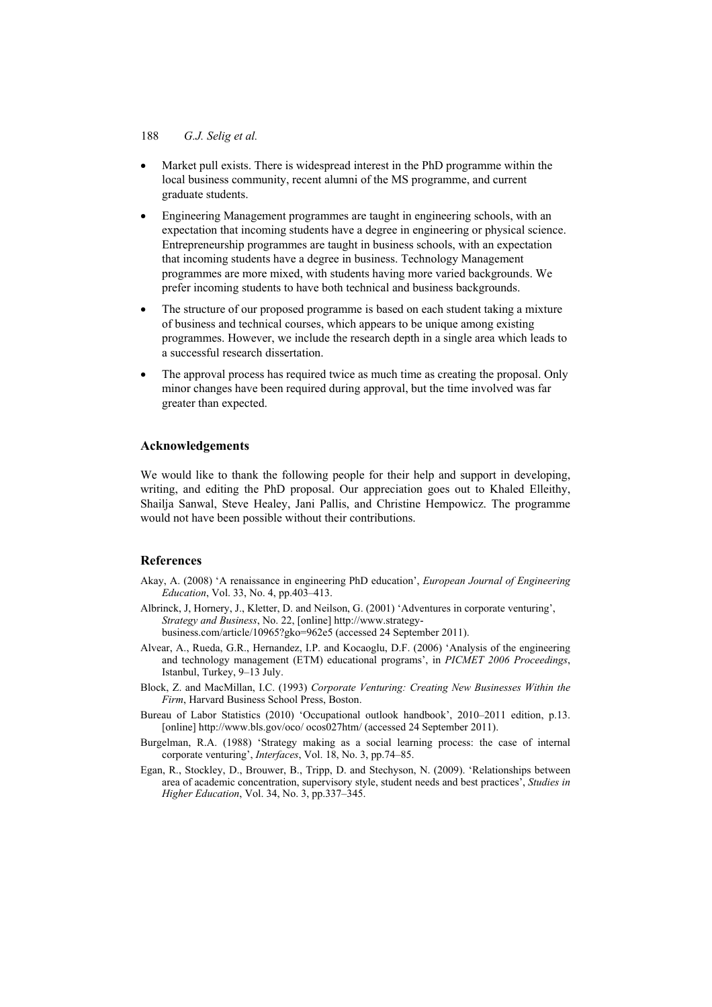- Market pull exists. There is widespread interest in the PhD programme within the local business community, recent alumni of the MS programme, and current graduate students.
- Engineering Management programmes are taught in engineering schools, with an expectation that incoming students have a degree in engineering or physical science. Entrepreneurship programmes are taught in business schools, with an expectation that incoming students have a degree in business. Technology Management programmes are more mixed, with students having more varied backgrounds. We prefer incoming students to have both technical and business backgrounds.
- The structure of our proposed programme is based on each student taking a mixture of business and technical courses, which appears to be unique among existing programmes. However, we include the research depth in a single area which leads to a successful research dissertation.
- The approval process has required twice as much time as creating the proposal. Only minor changes have been required during approval, but the time involved was far greater than expected.

#### **Acknowledgements**

We would like to thank the following people for their help and support in developing, writing, and editing the PhD proposal. Our appreciation goes out to Khaled Elleithy, Shailja Sanwal, Steve Healey, Jani Pallis, and Christine Hempowicz. The programme would not have been possible without their contributions.

#### **References**

- Akay, A. (2008) 'A renaissance in engineering PhD education', *European Journal of Engineering Education*, Vol. 33, No. 4, pp.403–413.
- Albrinck, J, Hornery, J., Kletter, D. and Neilson, G. (2001) 'Adventures in corporate venturing', *Strategy and Business*, No. 22, [online] http://www.strategybusiness.com/article/10965?gko=962e5 (accessed 24 September 2011).
- Alvear, A., Rueda, G.R., Hernandez, I.P. and Kocaoglu, D.F. (2006) 'Analysis of the engineering and technology management (ETM) educational programs', in *PICMET 2006 Proceedings*, Istanbul, Turkey, 9–13 July.
- Block, Z. and MacMillan, I.C. (1993) *Corporate Venturing: Creating New Businesses Within the Firm*, Harvard Business School Press, Boston.
- Bureau of Labor Statistics (2010) 'Occupational outlook handbook', 2010–2011 edition, p.13. [online] http://www.bls.gov/oco/ ocos027htm/ (accessed 24 September 2011).
- Burgelman, R.A. (1988) 'Strategy making as a social learning process: the case of internal corporate venturing', *Interfaces*, Vol. 18, No. 3, pp.74–85.
- Egan, R., Stockley, D., Brouwer, B., Tripp, D. and Stechyson, N. (2009). 'Relationships between area of academic concentration, supervisory style, student needs and best practices', *Studies in Higher Education*, Vol. 34, No. 3, pp.337–345.